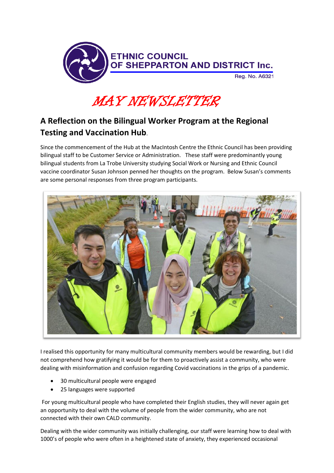

MAY NEWSLETTER

## **A Reflection on the Bilingual Worker Program at the Regional Testing and Vaccination Hub**.

Since the commencement of the Hub at the MacIntosh Centre the Ethnic Council has been providing bilingual staff to be Customer Service or Administration. These staff were predominantly young bilingual students from La Trobe University studying Social Work or Nursing and Ethnic Council vaccine coordinator Susan Johnson penned her thoughts on the program. Below Susan's comments are some personal responses from three program participants.



I realised this opportunity for many multicultural community members would be rewarding, but I did not comprehend how gratifying it would be for them to proactively assist a community, who were dealing with misinformation and confusion regarding Covid vaccinations in the grips of a pandemic.

- 30 multicultural people were engaged
- 25 languages were supported

For young multicultural people who have completed their English studies, they will never again get an opportunity to deal with the volume of people from the wider community, who are not connected with their own CALD community.

Dealing with the wider community was initially challenging, our staff were learning how to deal with 1000's of people who were often in a heightened state of anxiety, they experienced occasional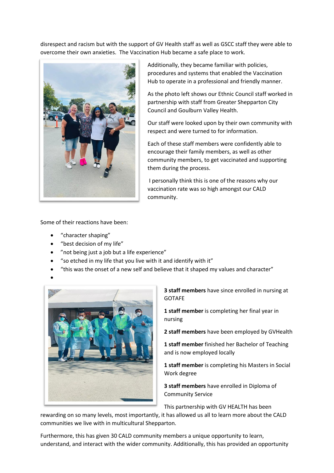disrespect and racism but with the support of GV Health staff as well as GSCC staff they were able to overcome their own anxieties. The Vaccination Hub became a safe place to work.



Additionally, they became familiar with policies, procedures and systems that enabled the Vaccination Hub to operate in a professional and friendly manner.

As the photo left shows our Ethnic Council staff worked in partnership with staff from Greater Shepparton City Council and Goulburn Valley Health.

Our staff were looked upon by their own community with respect and were turned to for information.

Each of these staff members were confidently able to encourage their family members, as well as other community members, to get vaccinated and supporting them during the process.

I personally think this is one of the reasons why our vaccination rate was so high amongst our CALD community.

Some of their reactions have been:

- "character shaping"
- "best decision of my life"
- "not being just a job but a life experience"
- "so etched in my life that you live with it and identify with it"
- "this was the onset of a new self and believe that it shaped my values and character"



**3 staff members** have since enrolled in nursing at GOTAFE

**1 staff member** is completing her final year in nursing

**2 staff members** have been employed by GVHealth

**1 staff member** finished her Bachelor of Teaching and is now employed locally

**1 staff member** is completing his Masters in Social Work degree

**3 staff members** have enrolled in Diploma of Community Service

This partnership with GV HEALTH has been

rewarding on so many levels, most importantly, it has allowed us all to learn more about the CALD communities we live with in multicultural Shepparton.

Furthermore, this has given 30 CALD community members a unique opportunity to learn, understand, and interact with the wider community. Additionally, this has provided an opportunity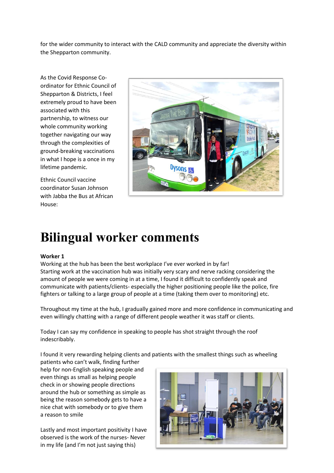for the wider community to interact with the CALD community and appreciate the diversity within the Shepparton community.

As the Covid Response Coordinator for Ethnic Council of Shepparton & Districts, I feel extremely proud to have been associated with this partnership, to witness our whole community working together navigating our way through the complexities of ground-breaking vaccinations in what I hope is a once in my lifetime pandemic.

Ethnic Council vaccine coordinator Susan Johnson with Jabba the Bus at African House:



# **Bilingual worker comments**

#### **Worker 1**

Working at the hub has been the best workplace I've ever worked in by far! Starting work at the vaccination hub was initially very scary and nerve racking considering the amount of people we were coming in at a time, I found it difficult to confidently speak and communicate with patients/clients- especially the higher positioning people like the police, fire fighters or talking to a large group of people at a time (taking them over to monitoring) etc.

Throughout my time at the hub, I gradually gained more and more confidence in communicating and even willingly chatting with a range of different people weather it was staff or clients.

Today I can say my confidence in speaking to people has shot straight through the roof indescribably.

I found it very rewarding helping clients and patients with the smallest things such as wheeling

patients who can't walk, finding further help for non-English speaking people and even things as small as helping people check in or showing people directions around the hub or something as simple as being the reason somebody gets to have a nice chat with somebody or to give them a reason to smile

Lastly and most important positivity I have observed is the work of the nurses- Never in my life (and I'm not just saying this)

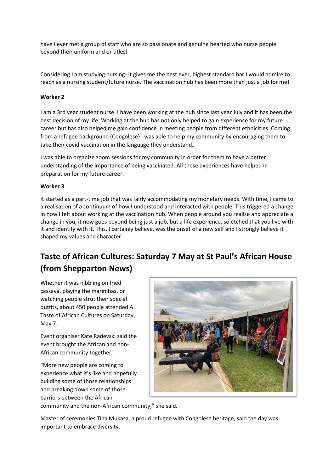have I ever met a group of staff who are so passionate and genuine hearted who nurse people beyond their uniform and or titles!

Considering I am studying nursing- it gives me the best ever, highest standard bar I would admire to reach as a nursing student/future nurse. The vaccination hub has been more than just a job for me!

#### **Worker 2**

I am a 3rd year student nurse. I have been working at the hub since last year July and it has been the best decision of my life. Working at the hub has not only helped to gain experience for my future career but has also helped me gain confidence in meeting people from different ethnicities. Coming from a refugee background (Congolese} I was able to help my community by encouraging them to take their covid vaccination in the language they understand.

I was able to organize zoom sessions for my community in order for them to have a better understanding of the importance of being vaccinated. All these experiences have helped in preparation for my future career.

#### **Worker 3**

It started as a part-time job that was fairly accommodating my monetary needs. With time, I came to a realisation of a continuum of how I understood and interacted with people. This triggered a change in how I felt about working at the vaccination hub. When people around you realise and appreciate a change in you, it now goes beyond being just a job, but a life experience, so etched that you live with it and identify with it. This, I certainly believe, was the onset of a new self and I strongly believe it shaped my values and character.

## **Taste of African Cultures: Saturday 7 May at St Paul's African House (from Shepparton News)**

Whether it was nibbling on fried cassava, playing the marimbas, or watching people strut their special outfits, about 450 people attended A Taste of African Cultures on Saturday, May 7.

Event organiser Kate Radevski said the event brought the African and non-African community together.

"More new people are coming to experience what it's like and hopefully building some of those relationships and breaking down some of those barriers between the African



community and the non-African community," she said.

Master of ceremonies Tina Mukasa, a proud refugee with Congolese heritage, said the day was important to embrace diversity.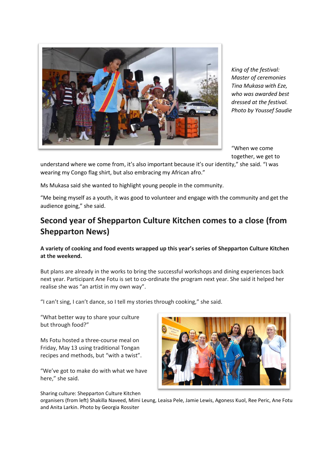

*King of the festival: Master of ceremonies Tina Mukasa with Eze, who was awarded best dressed at the festival. Photo by Youssef Saudie*

"When we come together, we get to

understand where we come from, it's also important because it's our identity," she said. "I was wearing my Congo flag shirt, but also embracing my African afro."

Ms Mukasa said she wanted to highlight young people in the community.

"Me being myself as a youth, it was good to volunteer and engage with the community and get the audience going," she said.

### **Second year of Shepparton Culture Kitchen comes to a close (from Shepparton News)**

#### **A variety of cooking and food events wrapped up this year's series of Shepparton Culture Kitchen at the weekend.**

But plans are already in the works to bring the successful workshops and dining experiences back next year. Participant Ane Fotu is set to co-ordinate the program next year. She said it helped her realise she was "an artist in my own way".

"I can't sing, I can't dance, so I tell my stories through cooking," she said.

"What better way to share your culture but through food?"

Ms Fotu hosted a three-course meal on Friday, May 13 using traditional Tongan recipes and methods, but "with a twist".

"We've got to make do with what we have here," she said.

Sharing culture: Shepparton Culture Kitchen



organisers (from left) Shakilla Naveed, Mimi Leung, Leaisa Pele, Jamie Lewis, Agoness Kuol, Ree Peric, Ane Fotu and Anita Larkin. Photo by Georgia Rossiter